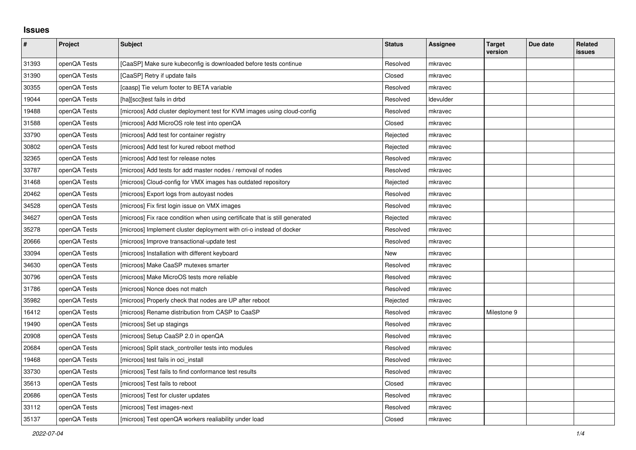## **Issues**

| $\pmb{\#}$ | Project      | <b>Subject</b>                                                              | <b>Status</b> | <b>Assignee</b> | <b>Target</b><br>version | Due date | Related<br>issues |
|------------|--------------|-----------------------------------------------------------------------------|---------------|-----------------|--------------------------|----------|-------------------|
| 31393      | openQA Tests | [CaaSP] Make sure kubeconfig is downloaded before tests continue            | Resolved      | mkravec         |                          |          |                   |
| 31390      | openQA Tests | [CaaSP] Retry if update fails                                               | Closed        | mkravec         |                          |          |                   |
| 30355      | openQA Tests | [caasp] Tie velum footer to BETA variable                                   | Resolved      | mkravec         |                          |          |                   |
| 19044      | openQA Tests | [ha][scc]test fails in drbd                                                 | Resolved      | Idevulder       |                          |          |                   |
| 19488      | openQA Tests | [microos] Add cluster deployment test for KVM images using cloud-config     | Resolved      | mkravec         |                          |          |                   |
| 31588      | openQA Tests | [microos] Add MicroOS role test into openQA                                 | Closed        | mkravec         |                          |          |                   |
| 33790      | openQA Tests | [microos] Add test for container registry                                   | Rejected      | mkravec         |                          |          |                   |
| 30802      | openQA Tests | [microos] Add test for kured reboot method                                  | Rejected      | mkravec         |                          |          |                   |
| 32365      | openQA Tests | [microos] Add test for release notes                                        | Resolved      | mkravec         |                          |          |                   |
| 33787      | openQA Tests | [microos] Add tests for add master nodes / removal of nodes                 | Resolved      | mkravec         |                          |          |                   |
| 31468      | openQA Tests | [microos] Cloud-config for VMX images has outdated repository               | Rejected      | mkravec         |                          |          |                   |
| 20462      | openQA Tests | [microos] Export logs from autoyast nodes                                   | Resolved      | mkravec         |                          |          |                   |
| 34528      | openQA Tests | [microos] Fix first login issue on VMX images                               | Resolved      | mkravec         |                          |          |                   |
| 34627      | openQA Tests | [microos] Fix race condition when using certificate that is still generated | Rejected      | mkravec         |                          |          |                   |
| 35278      | openQA Tests | [microos] Implement cluster deployment with cri-o instead of docker         | Resolved      | mkravec         |                          |          |                   |
| 20666      | openQA Tests | [microos] Improve transactional-update test                                 | Resolved      | mkravec         |                          |          |                   |
| 33094      | openQA Tests | [microos] Installation with different keyboard                              | New           | mkravec         |                          |          |                   |
| 34630      | openQA Tests | [microos] Make CaaSP mutexes smarter                                        | Resolved      | mkravec         |                          |          |                   |
| 30796      | openQA Tests | [microos] Make MicroOS tests more reliable                                  | Resolved      | mkravec         |                          |          |                   |
| 31786      | openQA Tests | [microos] Nonce does not match                                              | Resolved      | mkravec         |                          |          |                   |
| 35982      | openQA Tests | [microos] Properly check that nodes are UP after reboot                     | Rejected      | mkravec         |                          |          |                   |
| 16412      | openQA Tests | [microos] Rename distribution from CASP to CaaSP                            | Resolved      | mkravec         | Milestone 9              |          |                   |
| 19490      | openQA Tests | [microos] Set up stagings                                                   | Resolved      | mkravec         |                          |          |                   |
| 20908      | openQA Tests | [microos] Setup CaaSP 2.0 in openQA                                         | Resolved      | mkravec         |                          |          |                   |
| 20684      | openQA Tests | [microos] Split stack_controller tests into modules                         | Resolved      | mkravec         |                          |          |                   |
| 19468      | openQA Tests | [microos] test fails in oci_install                                         | Resolved      | mkravec         |                          |          |                   |
| 33730      | openQA Tests | [microos] Test fails to find conformance test results                       | Resolved      | mkravec         |                          |          |                   |
| 35613      | openQA Tests | [microos] Test fails to reboot                                              | Closed        | mkravec         |                          |          |                   |
| 20686      | openQA Tests | [microos] Test for cluster updates                                          | Resolved      | mkravec         |                          |          |                   |
| 33112      | openQA Tests | [microos] Test images-next                                                  | Resolved      | mkravec         |                          |          |                   |
| 35137      | openQA Tests | [microos] Test openQA workers realiability under load                       | Closed        | mkravec         |                          |          |                   |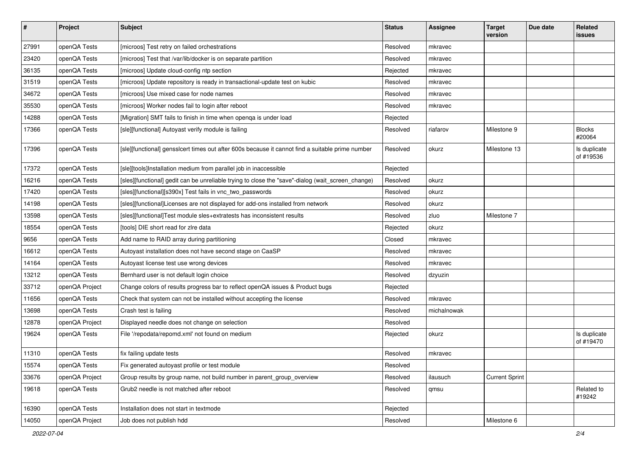| $\vert$ # | Project        | <b>Subject</b>                                                                                    | <b>Status</b> | <b>Assignee</b> | <b>Target</b><br>version | Due date | Related<br>issues         |
|-----------|----------------|---------------------------------------------------------------------------------------------------|---------------|-----------------|--------------------------|----------|---------------------------|
| 27991     | openQA Tests   | [microos] Test retry on failed orchestrations                                                     | Resolved      | mkravec         |                          |          |                           |
| 23420     | openQA Tests   | [microos] Test that /var/lib/docker is on separate partition                                      | Resolved      | mkravec         |                          |          |                           |
| 36135     | openQA Tests   | [microos] Update cloud-config ntp section                                                         | Rejected      | mkravec         |                          |          |                           |
| 31519     | openQA Tests   | [microos] Update repository is ready in transactional-update test on kubic                        | Resolved      | mkravec         |                          |          |                           |
| 34672     | openQA Tests   | [microos] Use mixed case for node names                                                           | Resolved      | mkravec         |                          |          |                           |
| 35530     | openQA Tests   | [microos] Worker nodes fail to login after reboot                                                 | Resolved      | mkravec         |                          |          |                           |
| 14288     | openQA Tests   | [Migration] SMT fails to finish in time when openga is under load                                 | Rejected      |                 |                          |          |                           |
| 17366     | openQA Tests   | [sle][functional] Autoyast verify module is failing                                               | Resolved      | riafarov        | Milestone 9              |          | <b>Blocks</b><br>#20064   |
| 17396     | openQA Tests   | [sle][functional] gensslcert times out after 600s because it cannot find a suitable prime number  | Resolved      | okurz           | Milestone 13             |          | Is duplicate<br>of #19536 |
| 17372     | openQA Tests   | [sle][tools]Installation medium from parallel job in inaccessible                                 | Rejected      |                 |                          |          |                           |
| 16216     | openQA Tests   | [sles][functional] gedit can be unreliable trying to close the "save"-dialog (wait_screen_change) | Resolved      | okurz           |                          |          |                           |
| 17420     | openQA Tests   | [sles][functional][s390x] Test fails in vnc_two_passwords                                         | Resolved      | okurz           |                          |          |                           |
| 14198     | openQA Tests   | [sles][functional]Licenses are not displayed for add-ons installed from network                   | Resolved      | okurz           |                          |          |                           |
| 13598     | openQA Tests   | [sles][functional]Test module sles+extratests has inconsistent results                            | Resolved      | zluo            | Milestone 7              |          |                           |
| 18554     | openQA Tests   | [tools] DIE short read for zire data                                                              | Rejected      | okurz           |                          |          |                           |
| 9656      | openQA Tests   | Add name to RAID array during partitioning                                                        | Closed        | mkravec         |                          |          |                           |
| 16612     | openQA Tests   | Autoyast installation does not have second stage on CaaSP                                         | Resolved      | mkravec         |                          |          |                           |
| 14164     | openQA Tests   | Autoyast license test use wrong devices                                                           | Resolved      | mkravec         |                          |          |                           |
| 13212     | openQA Tests   | Bernhard user is not default login choice                                                         | Resolved      | dzyuzin         |                          |          |                           |
| 33712     | openQA Project | Change colors of results progress bar to reflect openQA issues & Product bugs                     | Rejected      |                 |                          |          |                           |
| 11656     | openQA Tests   | Check that system can not be installed without accepting the license                              | Resolved      | mkravec         |                          |          |                           |
| 13698     | openQA Tests   | Crash test is failing                                                                             | Resolved      | michalnowak     |                          |          |                           |
| 12878     | openQA Project | Displayed needle does not change on selection                                                     | Resolved      |                 |                          |          |                           |
| 19624     | openQA Tests   | File '/repodata/repomd.xml' not found on medium                                                   | Rejected      | okurz           |                          |          | Is duplicate<br>of #19470 |
| 11310     | openQA Tests   | fix failing update tests                                                                          | Resolved      | mkravec         |                          |          |                           |
| 15574     | openQA Tests   | Fix generated autoyast profile or test module                                                     | Resolved      |                 |                          |          |                           |
| 33676     | openQA Project | Group results by group name, not build number in parent_group_overview                            | Resolved      | ilausuch        | <b>Current Sprint</b>    |          |                           |
| 19618     | openQA Tests   | Grub2 needle is not matched after reboot                                                          | Resolved      | qmsu            |                          |          | Related to<br>#19242      |
| 16390     | openQA Tests   | Installation does not start in textmode                                                           | Rejected      |                 |                          |          |                           |
| 14050     | openQA Project | Job does not publish hdd                                                                          | Resolved      |                 | Milestone 6              |          |                           |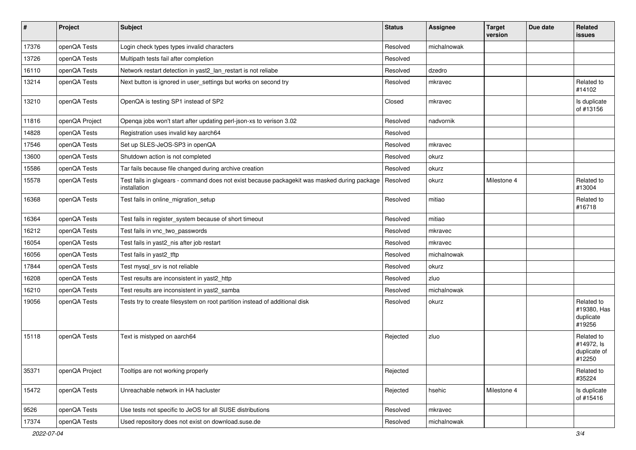| $\sharp$ | Project        | Subject                                                                                                      | <b>Status</b> | <b>Assignee</b> | <b>Target</b><br>version | Due date | Related<br>issues                                  |
|----------|----------------|--------------------------------------------------------------------------------------------------------------|---------------|-----------------|--------------------------|----------|----------------------------------------------------|
| 17376    | openQA Tests   | Login check types types invalid characters                                                                   | Resolved      | michalnowak     |                          |          |                                                    |
| 13726    | openQA Tests   | Multipath tests fail after completion                                                                        | Resolved      |                 |                          |          |                                                    |
| 16110    | openQA Tests   | Network restart detection in yast2_lan_restart is not reliabe                                                | Resolved      | dzedro          |                          |          |                                                    |
| 13214    | openQA Tests   | Next button is ignored in user_settings but works on second try                                              | Resolved      | mkravec         |                          |          | Related to<br>#14102                               |
| 13210    | openQA Tests   | OpenQA is testing SP1 instead of SP2                                                                         | Closed        | mkravec         |                          |          | Is duplicate<br>of #13156                          |
| 11816    | openQA Project | Openqa jobs won't start after updating perl-json-xs to verison 3.02                                          | Resolved      | nadvornik       |                          |          |                                                    |
| 14828    | openQA Tests   | Registration uses invalid key aarch64                                                                        | Resolved      |                 |                          |          |                                                    |
| 17546    | openQA Tests   | Set up SLES-JeOS-SP3 in openQA                                                                               | Resolved      | mkravec         |                          |          |                                                    |
| 13600    | openQA Tests   | Shutdown action is not completed                                                                             | Resolved      | okurz           |                          |          |                                                    |
| 15586    | openQA Tests   | Tar fails because file changed during archive creation                                                       | Resolved      | okurz           |                          |          |                                                    |
| 15578    | openQA Tests   | Test fails in glxgears - command does not exist because packagekit was masked during package<br>installation | Resolved      | okurz           | Milestone 4              |          | Related to<br>#13004                               |
| 16368    | openQA Tests   | Test fails in online_migration_setup                                                                         | Resolved      | mitiao          |                          |          | Related to<br>#16718                               |
| 16364    | openQA Tests   | Test fails in register_system because of short timeout                                                       | Resolved      | mitiao          |                          |          |                                                    |
| 16212    | openQA Tests   | Test fails in vnc_two_passwords                                                                              | Resolved      | mkravec         |                          |          |                                                    |
| 16054    | openQA Tests   | Test fails in yast2_nis after job restart                                                                    | Resolved      | mkravec         |                          |          |                                                    |
| 16056    | openQA Tests   | Test fails in yast2_tftp                                                                                     | Resolved      | michalnowak     |                          |          |                                                    |
| 17844    | openQA Tests   | Test mysql_srv is not reliable                                                                               | Resolved      | okurz           |                          |          |                                                    |
| 16208    | openQA Tests   | Test results are inconsistent in yast2_http                                                                  | Resolved      | zluo            |                          |          |                                                    |
| 16210    | openQA Tests   | Test results are inconsistent in yast2_samba                                                                 | Resolved      | michalnowak     |                          |          |                                                    |
| 19056    | openQA Tests   | Tests try to create filesystem on root partition instead of additional disk                                  | Resolved      | okurz           |                          |          | Related to<br>#19380, Has<br>duplicate<br>#19256   |
| 15118    | openQA Tests   | Text is mistyped on aarch64                                                                                  | Rejected      | zluo            |                          |          | Related to<br>#14972, Is<br>duplicate of<br>#12250 |
| 35371    | openQA Project | Tooltips are not working properly                                                                            | Rejected      |                 |                          |          | Related to<br>#35224                               |
| 15472    | openQA Tests   | Unreachable network in HA hacluster                                                                          | Rejected      | hsehic          | Milestone 4              |          | Is duplicate<br>of #15416                          |
| 9526     | openQA Tests   | Use tests not specific to JeOS for all SUSE distributions                                                    | Resolved      | mkravec         |                          |          |                                                    |
| 17374    | openQA Tests   | Used repository does not exist on download.suse.de                                                           | Resolved      | michalnowak     |                          |          |                                                    |